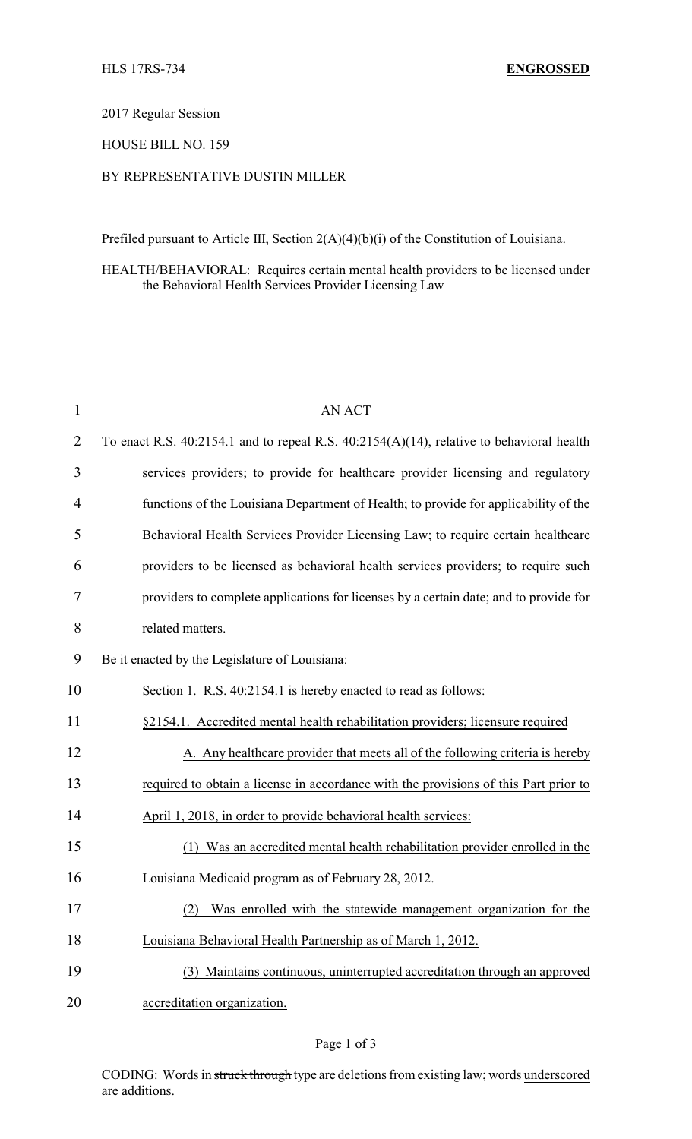#### 2017 Regular Session

# HOUSE BILL NO. 159

# BY REPRESENTATIVE DUSTIN MILLER

Prefiled pursuant to Article III, Section 2(A)(4)(b)(i) of the Constitution of Louisiana.

#### HEALTH/BEHAVIORAL: Requires certain mental health providers to be licensed under the Behavioral Health Services Provider Licensing Law

| $\mathbf{1}$   | <b>AN ACT</b>                                                                                 |  |  |
|----------------|-----------------------------------------------------------------------------------------------|--|--|
| $\overline{2}$ | To enact R.S. $40:2154.1$ and to repeal R.S. $40:2154(A)(14)$ , relative to behavioral health |  |  |
| 3              | services providers; to provide for healthcare provider licensing and regulatory               |  |  |
| 4              | functions of the Louisiana Department of Health; to provide for applicability of the          |  |  |
| 5              | Behavioral Health Services Provider Licensing Law; to require certain healthcare              |  |  |
| 6              | providers to be licensed as behavioral health services providers; to require such             |  |  |
| 7              | providers to complete applications for licenses by a certain date; and to provide for         |  |  |
| 8              | related matters.                                                                              |  |  |
| 9              | Be it enacted by the Legislature of Louisiana:                                                |  |  |
| 10             | Section 1. R.S. 40:2154.1 is hereby enacted to read as follows:                               |  |  |
| 11             | §2154.1. Accredited mental health rehabilitation providers; licensure required                |  |  |
| 12             | A. Any healthcare provider that meets all of the following criteria is hereby                 |  |  |
| 13             | required to obtain a license in accordance with the provisions of this Part prior to          |  |  |
| 14             | April 1, 2018, in order to provide behavioral health services:                                |  |  |
| 15             | Was an accredited mental health rehabilitation provider enrolled in the<br>(1)                |  |  |
| 16             | Louisiana Medicaid program as of February 28, 2012.                                           |  |  |
| 17             | (2) Was enrolled with the statewide management organization for the                           |  |  |
| 18             | Louisiana Behavioral Health Partnership as of March 1, 2012.                                  |  |  |
| 19             | (3) Maintains continuous, uninterrupted accreditation through an approved                     |  |  |
| 20             | accreditation organization.                                                                   |  |  |

### Page 1 of 3

CODING: Words in struck through type are deletions from existing law; words underscored are additions.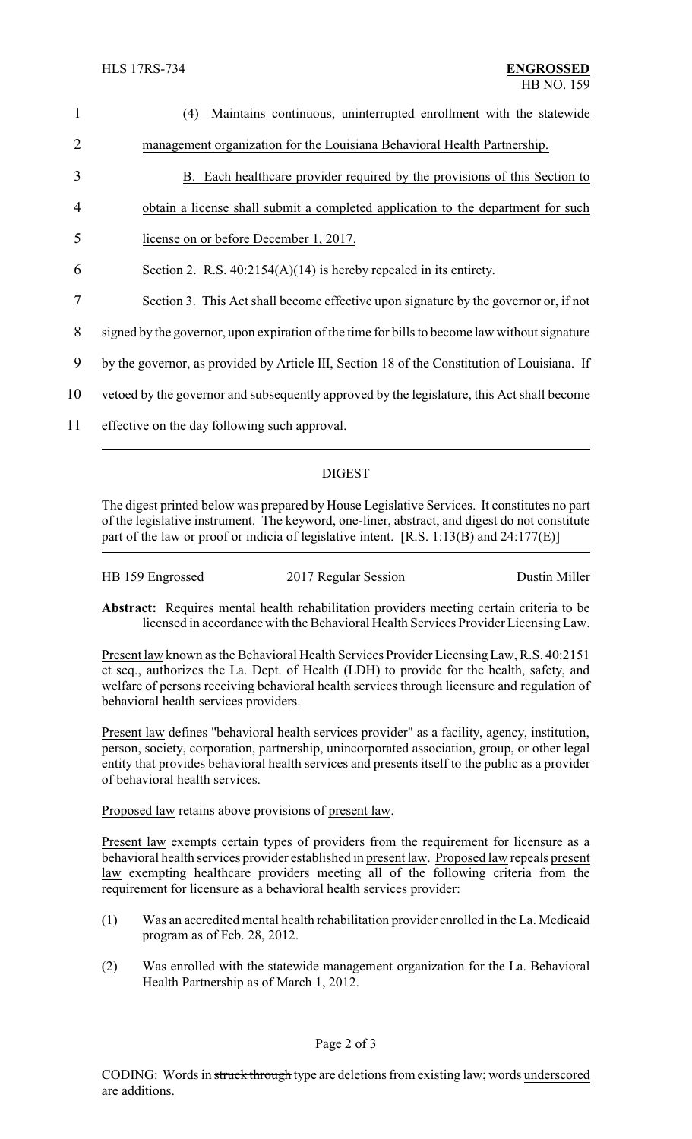| $\mathbf{1}$   | Maintains continuous, uninterrupted enrollment with the statewide<br>(4)                      |  |  |
|----------------|-----------------------------------------------------------------------------------------------|--|--|
| $\overline{2}$ | management organization for the Louisiana Behavioral Health Partnership.                      |  |  |
| 3              | B. Each healthcare provider required by the provisions of this Section to                     |  |  |
| 4              | obtain a license shall submit a completed application to the department for such              |  |  |
| 5              | license on or before December 1, 2017.                                                        |  |  |
| 6              | Section 2. R.S. $40:2154(A)(14)$ is hereby repealed in its entirety.                          |  |  |
| 7              | Section 3. This Act shall become effective upon signature by the governor or, if not          |  |  |
| 8              | signed by the governor, upon expiration of the time for bills to become law without signature |  |  |
| 9              | by the governor, as provided by Article III, Section 18 of the Constitution of Louisiana. If  |  |  |
| 10             | vetoed by the governor and subsequently approved by the legislature, this Act shall become    |  |  |
| 11             | effective on the day following such approval.                                                 |  |  |
|                |                                                                                               |  |  |

# DIGEST

The digest printed below was prepared by House Legislative Services. It constitutes no part of the legislative instrument. The keyword, one-liner, abstract, and digest do not constitute part of the law or proof or indicia of legislative intent. [R.S. 1:13(B) and 24:177(E)]

| HB 159 Engrossed | 2017 Regular Session | Dustin Miller |
|------------------|----------------------|---------------|
|                  |                      |               |

**Abstract:** Requires mental health rehabilitation providers meeting certain criteria to be licensed in accordance with the Behavioral Health Services Provider Licensing Law.

Present law known as the Behavioral Health Services Provider Licensing Law, R.S. 40:2151 et seq., authorizes the La. Dept. of Health (LDH) to provide for the health, safety, and welfare of persons receiving behavioral health services through licensure and regulation of behavioral health services providers.

Present law defines "behavioral health services provider" as a facility, agency, institution, person, society, corporation, partnership, unincorporated association, group, or other legal entity that provides behavioral health services and presents itself to the public as a provider of behavioral health services.

Proposed law retains above provisions of present law.

Present law exempts certain types of providers from the requirement for licensure as a behavioral health services provider established in present law. Proposed law repeals present law exempting healthcare providers meeting all of the following criteria from the requirement for licensure as a behavioral health services provider:

- (1) Was an accredited mental health rehabilitation provider enrolled in the La. Medicaid program as of Feb. 28, 2012.
- (2) Was enrolled with the statewide management organization for the La. Behavioral Health Partnership as of March 1, 2012.